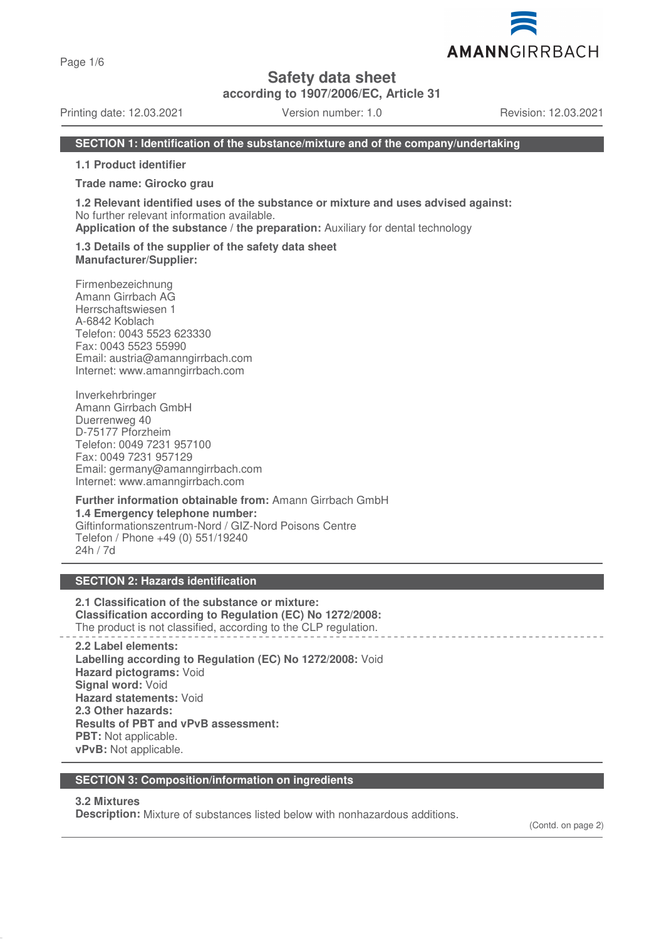Page 1/6

**Safety data sheet**

**according to 1907/2006/EC, Article 31**

Printing date: 12.03.2021 Version number: 1.0 Revision: 12.03.2021

AMANNGIRRBACH

### **SECTION 1: Identification of the substance/mixture and of the company/undertaking**

**1.1 Product identifier**

**Trade name: Girocko grau**

**1.2 Relevant identified uses of the substance or mixture and uses advised against:** No further relevant information available.

**Application of the substance / the preparation:** Auxiliary for dental technology

#### **1.3 Details of the supplier of the safety data sheet Manufacturer/Supplier:**

Firmenbezeichnung Amann Girrbach AG Herrschaftswiesen 1 A-6842 Koblach Telefon: 0043 5523 623330 Fax: 0043 5523 55990 Email: austria@amanngirrbach.com Internet: www.amanngirrbach.com

Inverkehrbringer Amann Girrbach GmbH Duerrenweg 40 D-75177 Pforzheim Telefon: 0049 7231 957100 Fax: 0049 7231 957129 Email: germany@amanngirrbach.com Internet: www.amanngirrbach.com

**Further information obtainable from:** Amann Girrbach GmbH **1.4 Emergency telephone number:** Giftinformationszentrum-Nord / GIZ-Nord Poisons Centre Telefon / Phone +49 (0) 551/19240 24h / 7d

# **SECTION 2: Hazards identification**

**2.1 Classification of the substance or mixture: Classification according to Regulation (EC) No 1272/2008:** The product is not classified, according to the CLP regulation.

**2.2 Label elements: Labelling according to Regulation (EC) No 1272/2008:** Void **Hazard pictograms:** Void **Signal word:** Void **Hazard statements:** Void **2.3 Other hazards: Results of PBT and vPvB assessment: PBT:** Not applicable. **vPvB:** Not applicable.

### **SECTION 3: Composition/information on ingredients**

### **3.2 Mixtures**

**Description:** Mixture of substances listed below with nonhazardous additions.

(Contd. on page 2)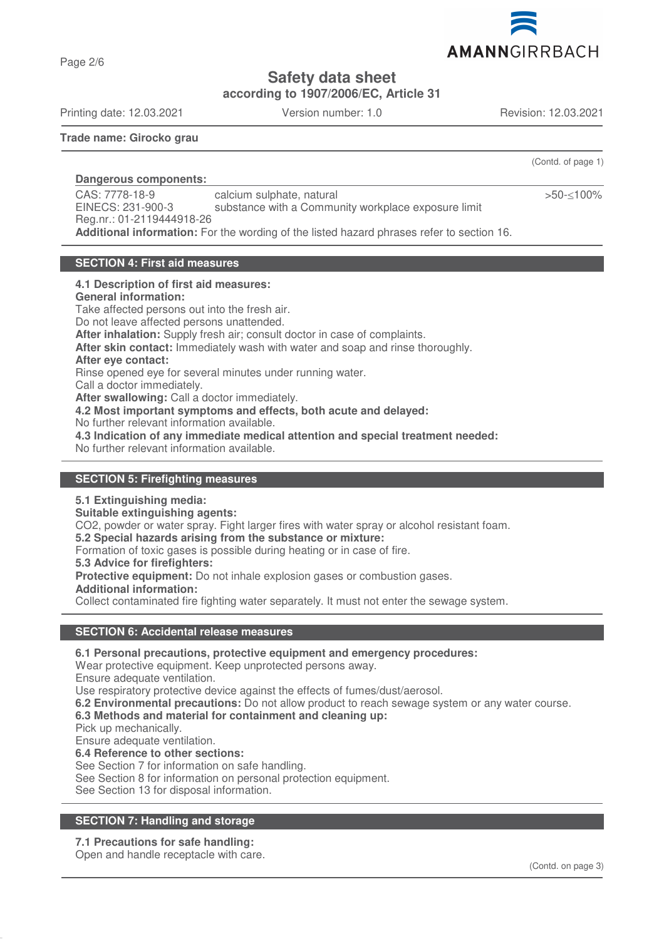

**Safety data sheet**

**according to 1907/2006/EC, Article 31**

Printing date: 12.03.2021 Version number: 1.0 Revision: 12.03.2021

Page 2/6

**Trade name: Girocko grau**

(Contd. of page 1)

>50-≤100%

**Dangerous components:**  CAS: 7778-18-9 EINECS: 231-900-3 Reg.nr.: 01-2119444918-26 calcium sulphate, natural substance with a Community workplace exposure limit **Additional information:** For the wording of the listed hazard phrases refer to section 16.

### **SECTION 4: First aid measures**

#### **4.1 Description of first aid measures:**

**General information:**

Take affected persons out into the fresh air.

Do not leave affected persons unattended.

**After inhalation:** Supply fresh air; consult doctor in case of complaints.

**After skin contact:** Immediately wash with water and soap and rinse thoroughly.

# **After eye contact:**

Rinse opened eye for several minutes under running water.

Call a doctor immediately.

**After swallowing:** Call a doctor immediately.

**4.2 Most important symptoms and effects, both acute and delayed:**

No further relevant information available.

**4.3 Indication of any immediate medical attention and special treatment needed:**

No further relevant information available.

### **SECTION 5: Firefighting measures**

### **5.1 Extinguishing media:**

**Suitable extinguishing agents:**

CO2, powder or water spray. Fight larger fires with water spray or alcohol resistant foam.

**5.2 Special hazards arising from the substance or mixture:**

Formation of toxic gases is possible during heating or in case of fire.

**5.3 Advice for firefighters:**

**Protective equipment:** Do not inhale explosion gases or combustion gases.

### **Additional information:**

Collect contaminated fire fighting water separately. It must not enter the sewage system.

### **SECTION 6: Accidental release measures**

**6.1 Personal precautions, protective equipment and emergency procedures:**

Wear protective equipment. Keep unprotected persons away.

Ensure adequate ventilation.

Use respiratory protective device against the effects of fumes/dust/aerosol.

**6.2 Environmental precautions:** Do not allow product to reach sewage system or any water course.

# **6.3 Methods and material for containment and cleaning up:**

Pick up mechanically.

Ensure adequate ventilation.

**6.4 Reference to other sections:**

See Section 7 for information on safe handling.

See Section 8 for information on personal protection equipment.

See Section 13 for disposal information.

# **SECTION 7: Handling and storage**

# **7.1 Precautions for safe handling:**

Open and handle receptacle with care.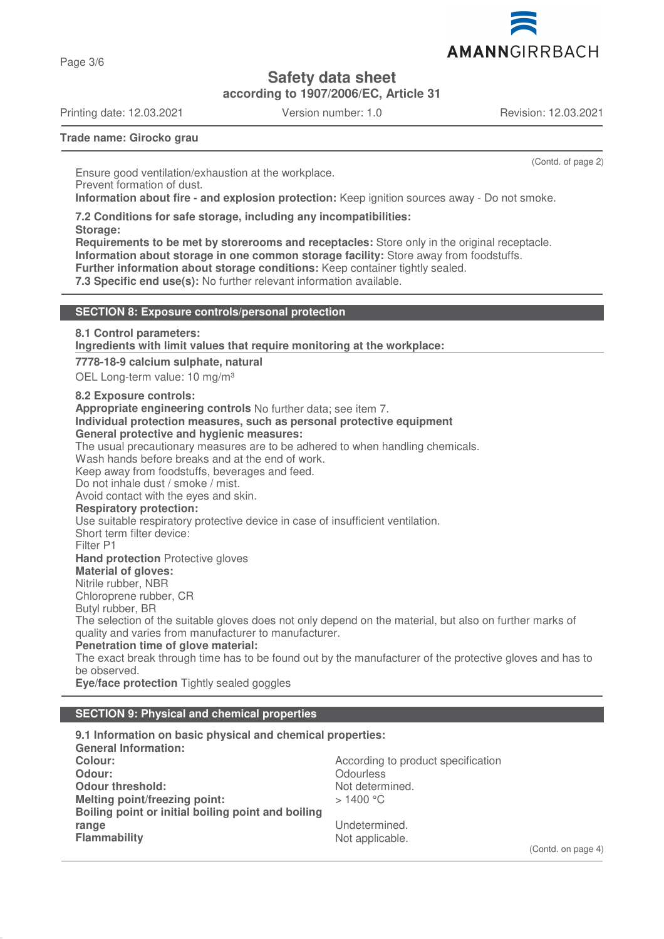

**Safety data sheet**

**according to 1907/2006/EC, Article 31**

Printing date: 12.03.2021 Version number: 1.0 Revision: 12.03.2021

Page 3/6

(Contd. of page 2)

**Trade name: Girocko grau**

Ensure good ventilation/exhaustion at the workplace. Prevent formation of dust. **Information about fire - and explosion protection:** Keep ignition sources away - Do not smoke.

**7.2 Conditions for safe storage, including any incompatibilities:**

**Storage:**

**Requirements to be met by storerooms and receptacles:** Store only in the original receptacle. **Information about storage in one common storage facility:** Store away from foodstuffs. **Further information about storage conditions:** Keep container tightly sealed.

**7.3 Specific end use(s):** No further relevant information available.

### **SECTION 8: Exposure controls/personal protection**

**8.1 Control parameters:**

**Ingredients with limit values that require monitoring at the workplace:** 

**7778-18-9 calcium sulphate, natural**

OEL Long-term value: 10 mg/m<sup>3</sup>

**8.2 Exposure controls:**

**Appropriate engineering controls** No further data; see item 7.

**Individual protection measures, such as personal protective equipment**

# **General protective and hygienic measures:**

The usual precautionary measures are to be adhered to when handling chemicals.

Wash hands before breaks and at the end of work.

Keep away from foodstuffs, beverages and feed.

Do not inhale dust / smoke / mist.

Avoid contact with the eyes and skin.

**Respiratory protection:**

Use suitable respiratory protective device in case of insufficient ventilation.

Short term filter device:

Filter P1

**Hand protection** Protective gloves

# **Material of gloves:**

Nitrile rubber, NBR

Chloroprene rubber, CR

Butyl rubber, BR

The selection of the suitable gloves does not only depend on the material, but also on further marks of quality and varies from manufacturer to manufacturer.

**Penetration time of glove material:**

The exact break through time has to be found out by the manufacturer of the protective gloves and has to be observed.

**Eye/face protection** Tightly sealed goggles

# **SECTION 9: Physical and chemical properties**

**9.1 Information on basic physical and chemical properties: General Information: Colour:** Colour: **According to product specification Odour:** Odourless<br> **Odour threshold:** Contact Contact Contact Contact Contact Contact Contact Contact Contact Contact Contact Conta<br>
Odour threshold: Contact Contact Contact Contact Contact Contact Contact Contact Contact **Odour threshold:**<br>
Melting point/freezing point:<br>
Melting point/freezing point:<br>
> 1400 °C **Melting point/freezing point: Boiling point or initial boiling point and boiling range** Undetermined.<br> **Flammability** Contract Contract Contract Contract Contract Contract Contract Contract Contract Contract Contra<br>
Not applicable. Not applicable.

(Contd. on page 4)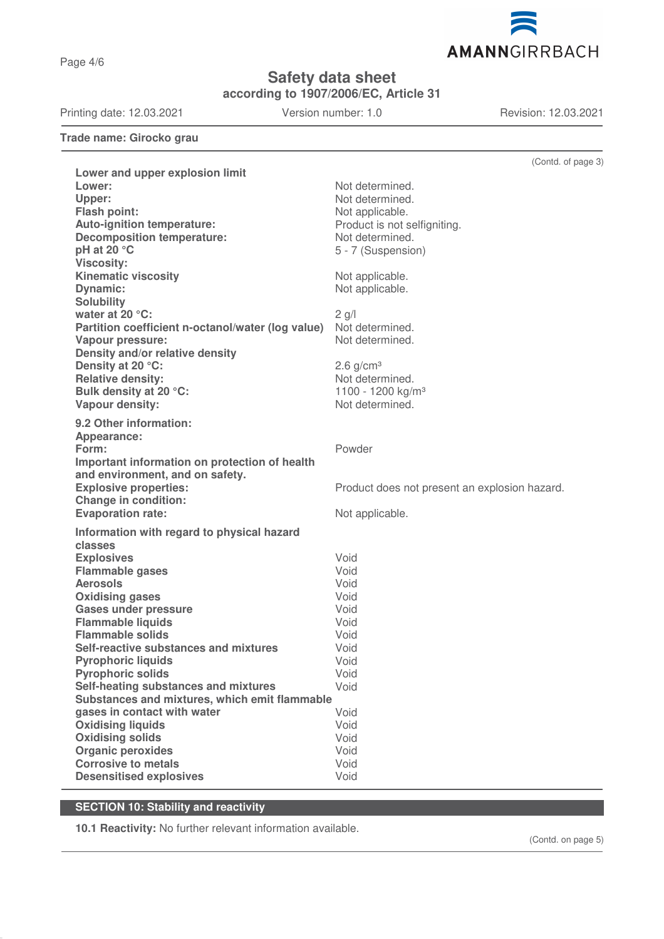Page 4/6

**Safety data sheet**

**according to 1907/2006/EC, Article 31**

Printing date: 12.03.2021 Version number: 1.0 Revision: 12.03.2021

AMANNGIRRBACH

**Trade name: Girocko grau**

|                                                                  | (Contd. of page 3)                            |
|------------------------------------------------------------------|-----------------------------------------------|
| Lower and upper explosion limit                                  |                                               |
| Lower:                                                           | Not determined.                               |
| Upper:                                                           | Not determined.                               |
| Flash point:                                                     | Not applicable.                               |
| <b>Auto-ignition temperature:</b>                                | Product is not selfigniting.                  |
| <b>Decomposition temperature:</b>                                | Not determined.                               |
| pH at 20 °C                                                      | 5 - 7 (Suspension)                            |
| <b>Viscosity:</b><br><b>Kinematic viscosity</b>                  |                                               |
| Dynamic:                                                         | Not applicable.<br>Not applicable.            |
| <b>Solubility</b>                                                |                                               |
| water at 20 $\degree$ C:                                         | $2$ g/l                                       |
| Partition coefficient n-octanol/water (log value)                | Not determined.                               |
| <b>Vapour pressure:</b>                                          | Not determined.                               |
| Density and/or relative density                                  |                                               |
| Density at 20 °C:                                                | $2.6$ g/cm <sup>3</sup>                       |
| <b>Relative density:</b>                                         | Not determined.                               |
| Bulk density at 20 °C:                                           | 1100 - 1200 kg/m <sup>3</sup>                 |
| Vapour density:                                                  | Not determined.                               |
| 9.2 Other information:                                           |                                               |
| Appearance:                                                      |                                               |
| Form:                                                            | Powder                                        |
| Important information on protection of health                    |                                               |
| and environment, and on safety.                                  |                                               |
| <b>Explosive properties:</b>                                     | Product does not present an explosion hazard. |
| <b>Change in condition:</b>                                      |                                               |
| <b>Evaporation rate:</b>                                         | Not applicable.                               |
| Information with regard to physical hazard                       |                                               |
| classes                                                          |                                               |
| <b>Explosives</b>                                                | Void                                          |
| <b>Flammable gases</b>                                           | Void                                          |
| <b>Aerosols</b>                                                  | Void                                          |
| <b>Oxidising gases</b>                                           | Void                                          |
| <b>Gases under pressure</b>                                      | Void                                          |
| <b>Flammable liquids</b>                                         | Void                                          |
| <b>Flammable solids</b><br>Self-reactive substances and mixtures | Void                                          |
| <b>Pyrophoric liquids</b>                                        | Void<br>Void                                  |
| <b>Pyrophoric solids</b>                                         | Void                                          |
| Self-heating substances and mixtures                             | Void                                          |
| Substances and mixtures, which emit flammable                    |                                               |
| gases in contact with water                                      | Void                                          |
| <b>Oxidising liquids</b>                                         | Void                                          |
| <b>Oxidising solids</b>                                          | Void                                          |
| <b>Organic peroxides</b>                                         | Void                                          |
| <b>Corrosive to metals</b>                                       | Void                                          |
| <b>Desensitised explosives</b>                                   | Void                                          |

# **SECTION 10: Stability and reactivity**

**10.1 Reactivity:** No further relevant information available.

(Contd. on page 5)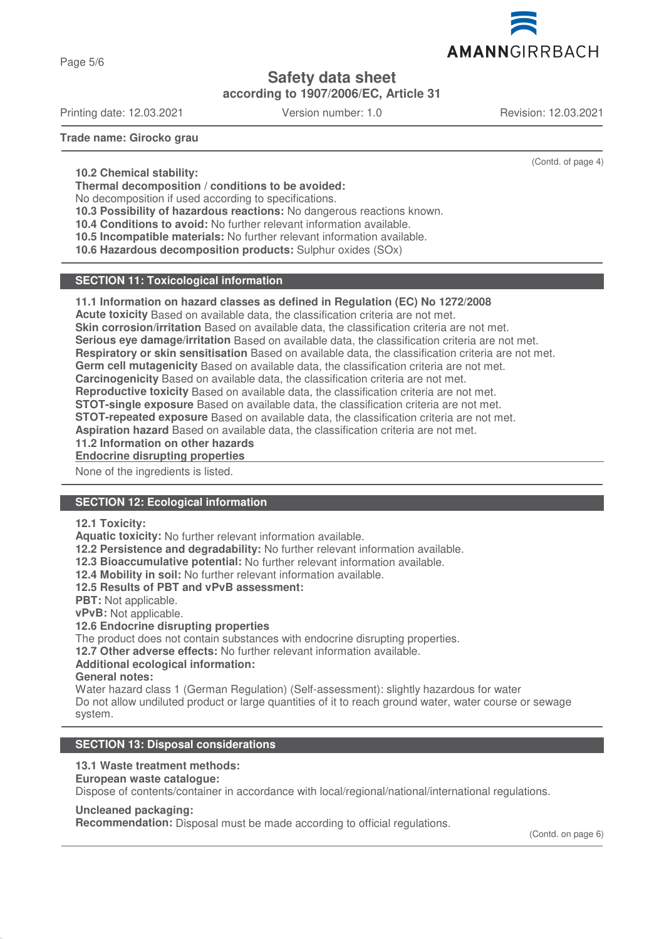

Page 5/6

# **Safety data sheet**

**according to 1907/2006/EC, Article 31**

Printing date: 12.03.2021 Version number: 1.0 Revision: 12.03.2021

(Contd. of page 4)

**Trade name: Girocko grau**

**10.2 Chemical stability:**

**Thermal decomposition / conditions to be avoided:**

No decomposition if used according to specifications.

**10.3 Possibility of hazardous reactions:** No dangerous reactions known.

**10.4 Conditions to avoid:** No further relevant information available.

**10.5 Incompatible materials:** No further relevant information available.

**10.6 Hazardous decomposition products:** Sulphur oxides (SOx)

# **SECTION 11: Toxicological information**

### **11.1 Information on hazard classes as defined in Regulation (EC) No 1272/2008**

**Acute toxicity** Based on available data, the classification criteria are not met.

**Skin corrosion/irritation** Based on available data, the classification criteria are not met.

**Serious eye damage/irritation** Based on available data, the classification criteria are not met.

**Respiratory or skin sensitisation** Based on available data, the classification criteria are not met.

**Germ cell mutagenicity** Based on available data, the classification criteria are not met.

**Carcinogenicity** Based on available data, the classification criteria are not met.

**Reproductive toxicity** Based on available data, the classification criteria are not met.

**STOT-single exposure** Based on available data, the classification criteria are not met.

**STOT-repeated exposure** Based on available data, the classification criteria are not met.

**Aspiration hazard** Based on available data, the classification criteria are not met.

**11.2 Information on other hazards**

**Endocrine disrupting properties** 

None of the ingredients is listed.

# **SECTION 12: Ecological information**

### **12.1 Toxicity:**

**Aquatic toxicity:** No further relevant information available.

**12.2 Persistence and degradability:** No further relevant information available.

**12.3 Bioaccumulative potential:** No further relevant information available.

**12.4 Mobility in soil:** No further relevant information available.

**12.5 Results of PBT and vPvB assessment:**

**PBT:** Not applicable.

**vPvB:** Not applicable.

### **12.6 Endocrine disrupting properties**

The product does not contain substances with endocrine disrupting properties.

**12.7 Other adverse effects:** No further relevant information available.

## **Additional ecological information:**

**General notes:**

Water hazard class 1 (German Regulation) (Self-assessment): slightly hazardous for water Do not allow undiluted product or large quantities of it to reach ground water, water course or sewage system.

# **SECTION 13: Disposal considerations**

# **13.1 Waste treatment methods:**

**European waste catalogue:**

Dispose of contents/container in accordance with local/regional/national/international regulations.

### **Uncleaned packaging:**

**Recommendation:** Disposal must be made according to official regulations.